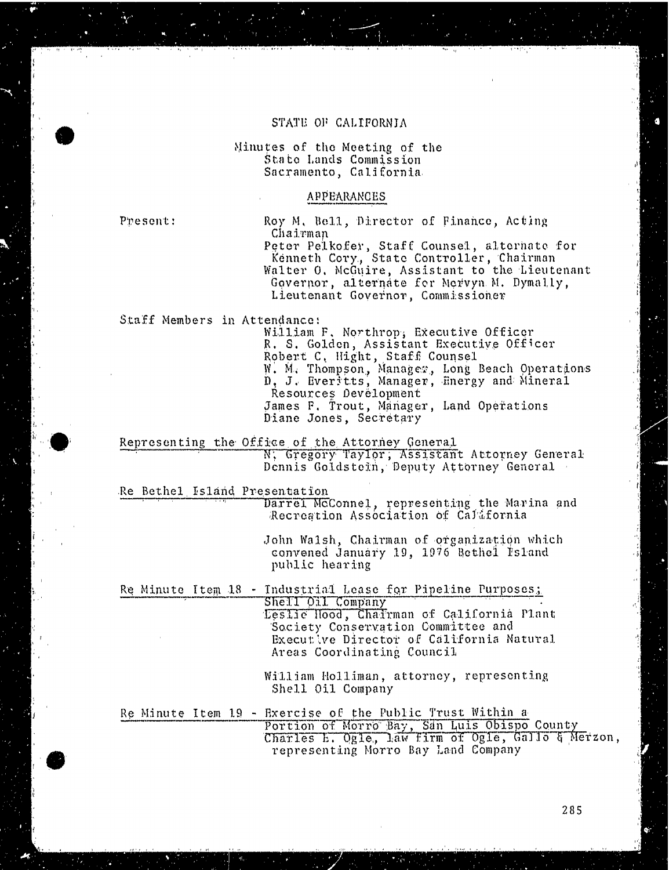#### STATE OF CALIFORNIA

Minutes of the Meeting of the State Lands Commission Sacramento, California

## APPEARANCES

Present: Roy M. Bell, Director of Finance, Acting Chairman Peter Pelkofer, Staff Counsel, altern<br>Time the Gauss Chate formed in the Chai Kenneth Cory, State Controller, Ch Walter O. McGuire, Assistant to the Lieutenant Governor, alternate for Mervyn M. Dymally, Lieutenant Governor, Commissioner

Staff Members in Attendance!

William F. Northrop, Executive Officer<br>R. S. Golden, Assistant Executive Officer R. S. Golden, Assistant Executive Of<br>Robert C. Hight, Staff Counsel W. M. Thompson, Manager, Long Beach Operations D, J. Everitts, Manager, Energy and Mineral Resources Development James F. Trout, Manager, Land Operations Diane Jones, Secretary

Representing the Office of the Attorney General<br>N, Gregory Taylor, Assistant Attorney General Dennis Goldstein, Deputy Attorney General

Re Bethel Island Presentation

Darrel McConnel, representing the Marina and Recreation Association of California

John Walsh, Chairman of organization which convened January 19, 1076 Bethel Island public hearing

Re Minute Item 18 - Industrial Lease for Pipeline Purposes; Leslie flood, Chairman of California Plant Society Conservation Committee and Executive Director of California Natural

Areas Coordinating Council

William Holliman, attorney, representing Shell Oil Company

Re Minute Item 19 - Exercise of the Public Tru Portion of Morro Bay, San Luis Obispo Co Charles E. Ogle, law firm of Ogle, Gallo & Merzon, representing Morro Bay Land Company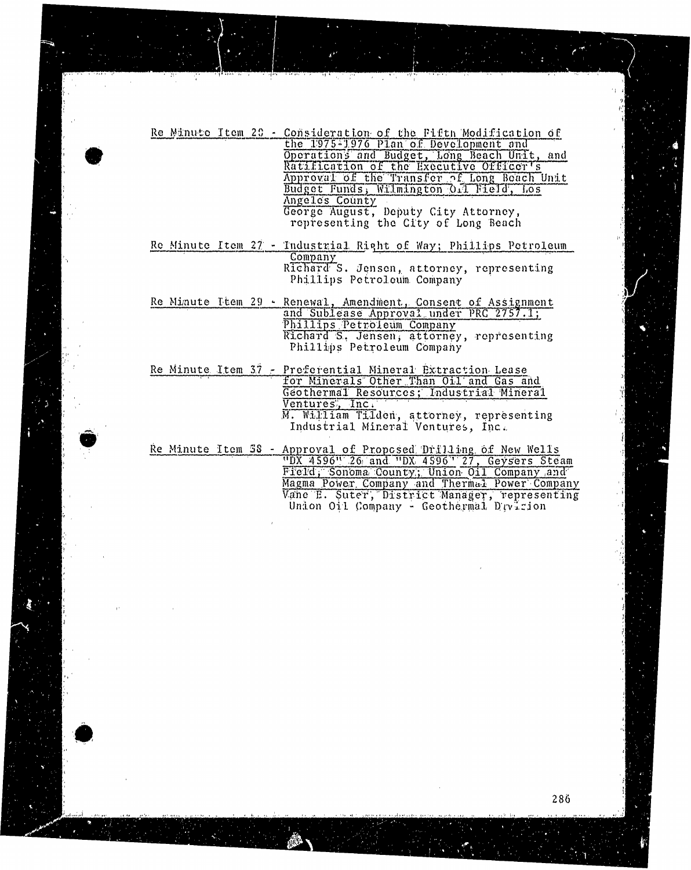|  | Re Minute Item 20 - Consideration of the Fifth Modification of<br>the 1975-1976 Plan of Development and<br>Operations and Budget, Long Beach Unit, and<br>Ratification of the Executive Officer's<br>Approval of the Transfer of Long Beach Unit<br>Budget Funds, Wilmington 0.1 Field, Los<br>Angelos County |
|--|---------------------------------------------------------------------------------------------------------------------------------------------------------------------------------------------------------------------------------------------------------------------------------------------------------------|
|  | George August, Deputy City Attorney,<br>representing the City of Long Beach                                                                                                                                                                                                                                   |
|  | Re Minute Item 27 - Industrial Right of Way; Phillips Petroleum<br>Company<br>Richard S. Jensen, attorney, representing<br>Phillips Petroleum Company                                                                                                                                                         |
|  | Re Minute Item 29 - Renewal, Amendment, Consent of Assignment<br>and Sublease Approval under PRC 2757.1;<br>Phillips Petroleum Company<br>Richard S. Jensen, attorney, representing<br>Phillips Petroleum Company                                                                                             |
|  | Re Minute Item 37 - Preferential Mineral Extraction Lease<br>for Minerals Other Than Oil and Gas and<br>Geothermal Resources; Industrial Mineral<br>Ventures, Inc.<br>M. William Tilden, attorney, representing<br>Industrial Mineral Ventures, Inc.                                                          |
|  | Re Minute Item 38 - Approval of Proposed Drilling of New Wells<br>"DX 4596" 26 and "DX 4596" 27, Geysers Steam<br>Field, Sonoma County; Union Oil Company and<br>Magma Power Company and Thermal Power Company<br>Vane E. Suter, District Manager, representing                                               |

Union Oil Company - Geothermal Dryizion

Vane B. Suter, "District Manager, representing Union Oil Company - Geothermal Division

ليومنين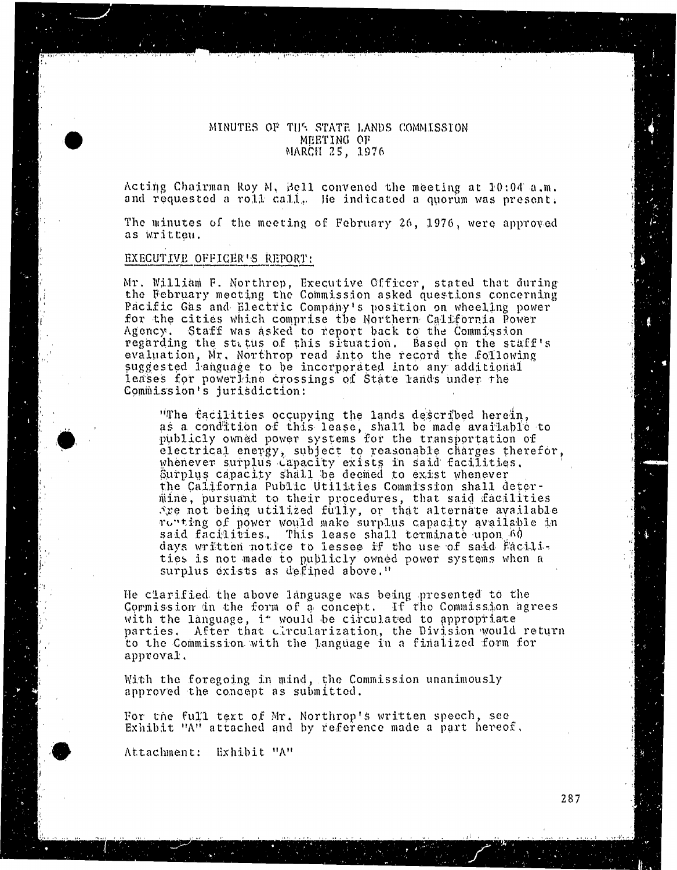# MINUTES OF THE STATE LANDS COMMISSION<br>MEETING OF MARCH 25. Marchael and possible

Acting chairman Roy M. Bell convened the meeting at 1 and requested a roll call.. Ife indicated a quorum was present.

The minutes of the meeting of February 26, 1976, were approved as written.

# EXECUTIVE OFFICER'S REPORT:

Mr. William F. Northrop, Executive Officer, stated that during the February meeting the Commission asked questions concerning Pacific Gas and Electric Company's position on wheeling power for the cities which comprise the Northern California Power Agency. Staff was asked to report back to the Commission regarding the status of this situation. Based on the staff's regarding the status of this situation. Based on the status of the status of the status of the status of the status of the status of the status of the status of the status of the status of the status of the status of the s evaluation, Mr. Northern recording to the record the record the suggested into leases for powerline crossings of State lands under the leaster for powerline crossings of September Commission's jurisdiction:

"The facilities occupying the lands described herein,<br>as a condition of this lease, shall be made available to publicly owned power systems for the transportation of electrical energy, subject to reasonable charges therefor, whenever surplus capacity exists in said facilities. Surplus capacity shall be deemed to exist whenever the California Public Utilities Commission shall determine, pursuant to their procedures, that said facilities  $x$ e not being utilized fully, or that alternate available renting of power would make surplus capacity available in said facilities. This lease shall terminate upon 60 days written notice to lessee if the use of said Facilities is not made to publicly owned power systems when a  $t_{\text{t}}$  is not made to publicly owned power system surplus exists as defined above. "

He clarified the above language was being presented to the Gormission are the torm of a concept. If the Commission agrees with the language, i<sup>t</sup> would be circulated to appropriate parties. After that circularization, the Division would return parties. After the Commission, with the Language in a final to the Commission with the Language in a finalized form  $\alpha$ 

 $\frac{1}{2}$  approved the concent as submitted. approved the concept as submit

 $F_{\rm sub}$  the full text of  $M_r$  and  $\sim$  reference made Exhibit "A" attached and by reference made a part hereof.

Attachment: Exhibit "A"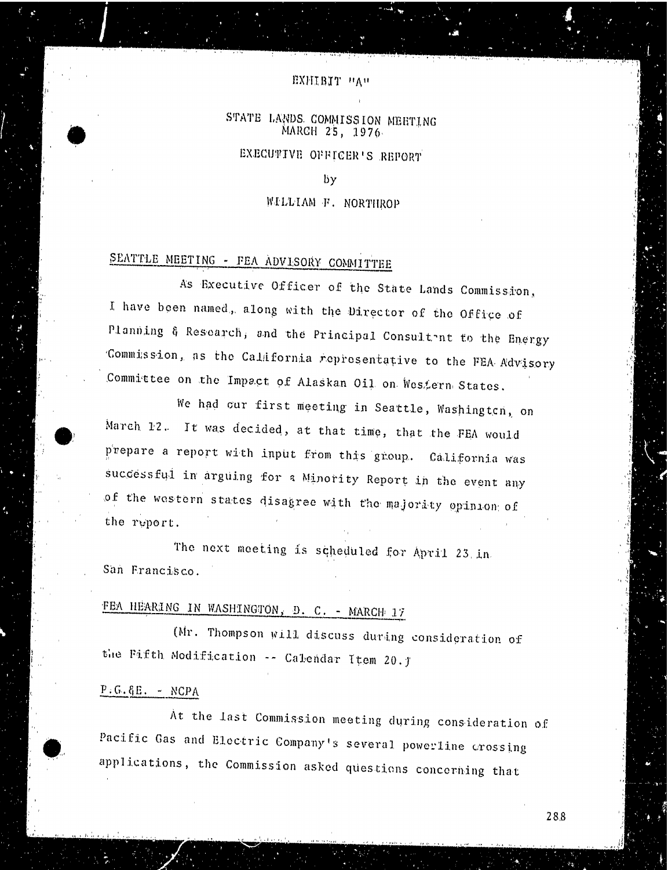### EXHIBIT "A"

# STATE LANDS. COMMISSION MEETING MARCH 25, 1976

EXECUTIVE OFFICER'S REPORT

 $b\mathbf{v}$ 

## WILLIAM F. NORTHROP

# SEATTLE MEETING - FEA ADVISORY COMMITTEE

As Executive Officer of the State Lands Commission, I have been named, along with the Director of the Office of Planning & Research, and the Principal Consultant to the Energy Commission, as the California representative to the FEA Advisory Committee on the Impact of Alaskan Oil on Western States.

We had our first meeting in Seattle, Washington, on March 12. It was decided, at that time, that the FEA would prepare a report with input from this group. California was successful in arguing for a Minority Report in the event any of the western states disagree with the majority opinion of the report.

The next meeting is scheduled for April 23 in San Francisco.

# FEA HEARING IN WASHINGTON, D. C. - MARCH 17

(Mr. Thompson will discuss during consideration of the Fifth Modification -- Calendar Item 20. J

## $P.G.G.E. - NCPA$

At the last Commission meeting during consideration of Pacific Gas and Electric Company's several powerline crossing applications, the Commission asked questions concerning that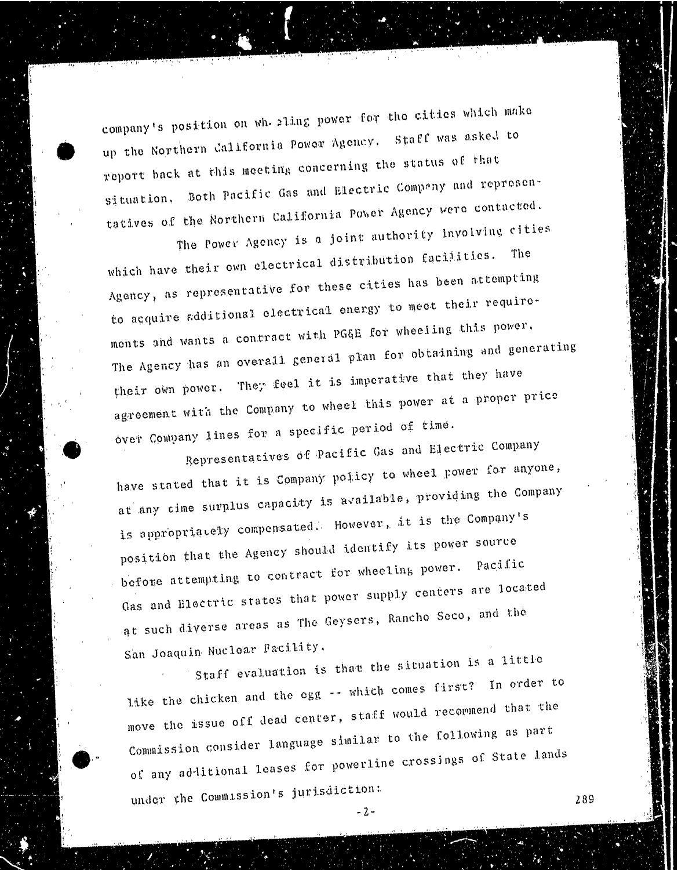company's position on whaling power for the cities which make<br>up the Northern California Power Agency. Staff was asked to report back at this meeting concerning the status of that situation, Both Pacific Gas and Electric Company and representatives of the Northern California Power Agency were contacted.

The Power Agency is a joint authority involving cities. which have their own electrical distribution facilities. The Agency, as representative for these cities has been attempting to acquire additional electrical energy to meet their requirements and wants a contract with PGGE for wheeling this power, The Agency has an overall general plan for obtaining and generating their own power. They feel it is imperative that they have their own power. They feel it is indicated at a agreement with the Company to when  $\mathcal{S}$  power and  $\mathcal{S}^{\text{f}}$  time. over Company lines for a specific period of time.<br>Representatives of Pacific Gas and Electric Company

have stated that it is Company policy to wheel power for anyone, at any cime surplus capacity is available, providing the Company is appropriately compensated. However, it is the Company's position that the Agency should identify its power source before attempting to contract for wheeling power. Pacific Gas and Electric states that power supply centers are located Gas and Electric states that  $\frac{1}{2}$  and  $\frac{1}{2}$  centers  $\frac{1}{2}$  centers and  $\frac{1}{2}$  the at such diverse areas as

San Joaquin Nuclear Facility.<br>Staff evaluation is that the situation is a little like the chicken and the egg -- which comes first? In order to move the issue off dead center, staff would recommend that the Commission consider language similar to the following as part Commission consider language similar to the following as processings of Stat of any additional leases for powers for powers of  $\sin \theta$ under the Commission's jurisdiction:  $289$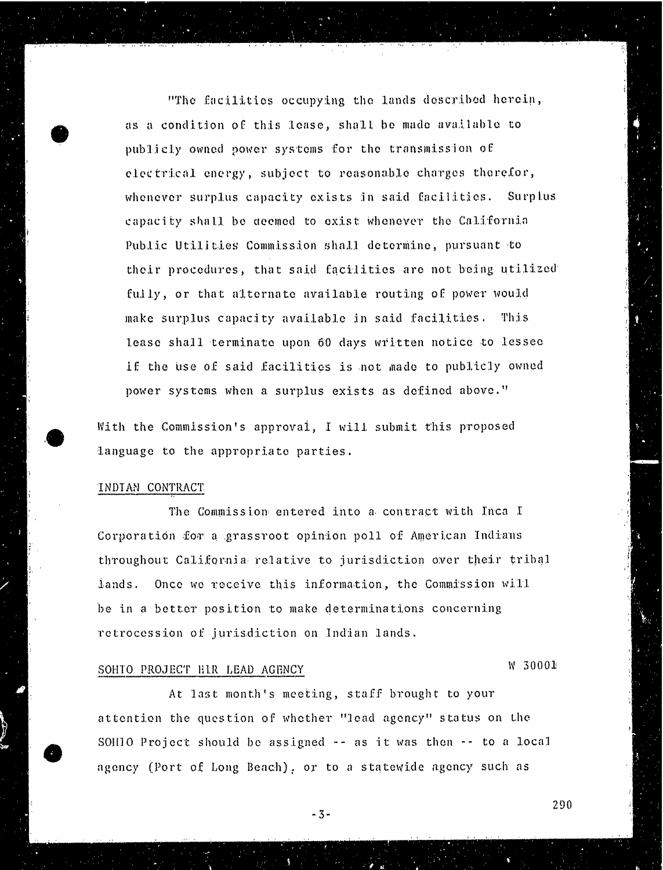"The facilities occupying the lands described herein, as a condition of this lease, shall be made available to publicly owned power systems for the transmission of electrical energy, subject to reasonable charges therefor, whenever surplus capacity exists in said facilities. Surplus capacity shall be deemed to exist whenever the California Public Utilities Commission Shall determine, pursuant to their procedures, that said facilities are not being utilized fully, or that alternate available routing of power would make surplus capacity available in said facilities. This lease shall terminate upon 60 days written notice to lessec if the use of said facilities is not made to publicly owned power systems when a surplus exists as defined above."

With the Commission's approval, I will submit this proposed language to the appropriate parties.

#### INDIAN CONTRACT

The Commission entered into a contract with Inca I Corporation for a grassroot opinion poll of American Indians throughout California relative to jurisdiction over their tribal lands. Once we receive this information, the Commission will be in a better position to make determinations concerning retrocession of jurisdiction on Indian lands.

# SOHTO PROJECT HIR LEAD AGENCY NO SOUL NOT SOUL

At last month's meeting, staff brought to your attention the question of whether "load agency" status on the soil10 Project should be assigned - - as it was then -- to a local agency (Port of Long Beach), or to a statewide agency such as

- 3-

290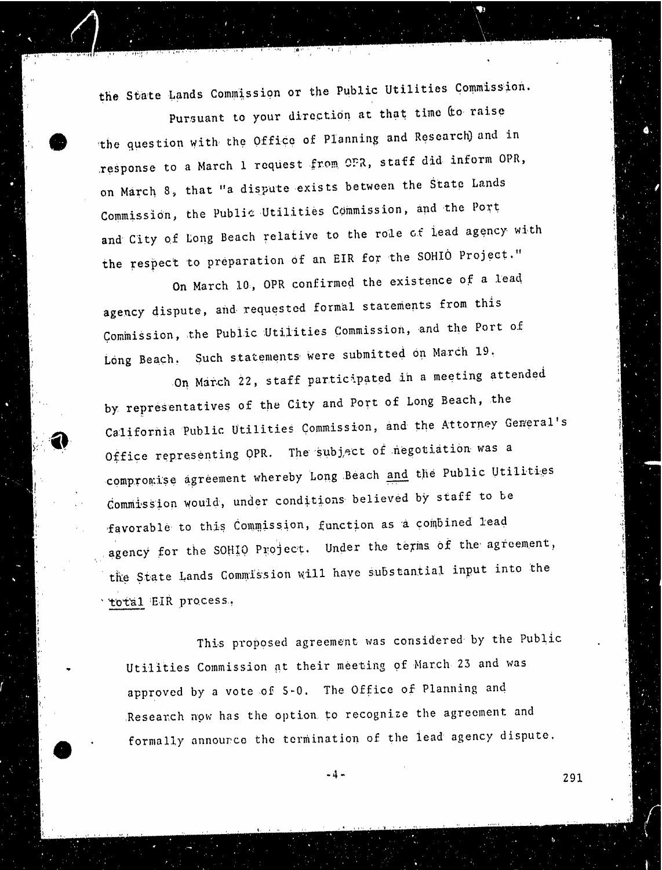the State Lands Commission or the Public Utilities Commission.

Pursuant to your direction at that time to raise the question with the Office of Planning and Research) and in response to a March 1 request from OFR, staff did inform OPR, on March 8, that "a dispute exists between the State Lands Commission, the Public Utilities Commission, and the Port and City of Long Beach relative to the role of lead agency with the respect to preparation of an EIR for the SOHIO Project."

On March 10, OPR confirmed the existence of a lead agency dispute, and requested formal statements from this Commission, the Public Utilities Commission, and the Port of Long Beach. Such statements were submitted on March 19.

On March 22, staff participated in a meeting attended by representatives of the City and Port of Long Beach, the California Public Utilities Commission, and the Attorney General's Office representing OPR. The subject of negotiation was a compromise agreement whereby Long Beach and the Public Utilities Commission would, under conditions believed by staff to be favorable to this Commission, function as a combined lead agency for the SOHIO Project. Under the terms of the agreement, the State Lands Commission will have substantial input into the total EIR process,

This proposed agreement was considered by the Public Utilities Commission at their meeting of March 23 and was approved by a vote of 5-0. The Office of Planning and Research now has the option to recognize the agreement and formally announce the termination of the lead agency dispute.

 $-4$  – 291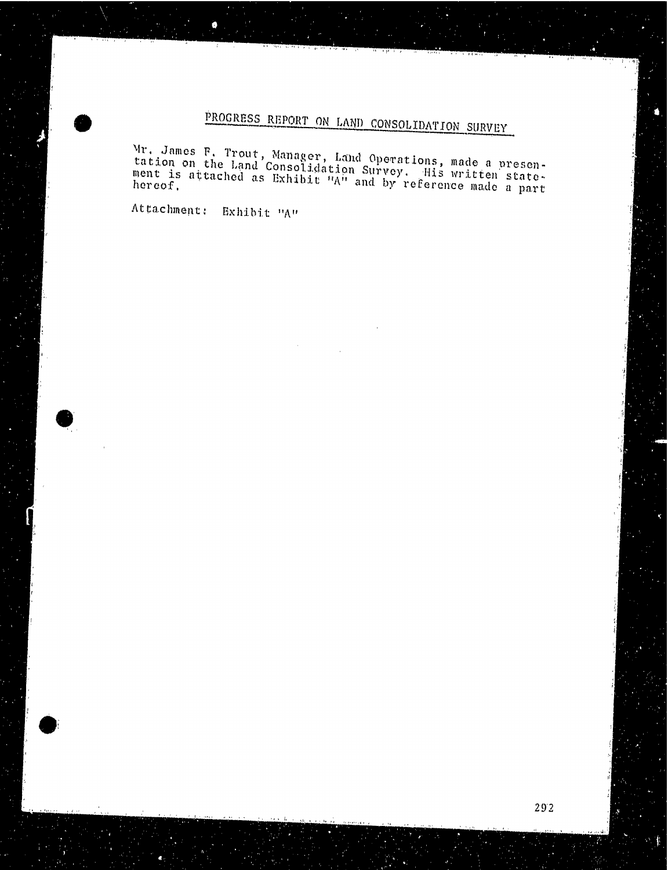# PROGRESS REPORT ON LAND CONSOLIDATION SURVEY

 $Mr$ . James F. Trout, Manager, Land Operations, made a presenttation on the Land Consolidation Survey. His machine ment is attached as Exhibit  $\frac{m}{n}$  and by reference matter s hereo:

Attachment: Exhibit "A"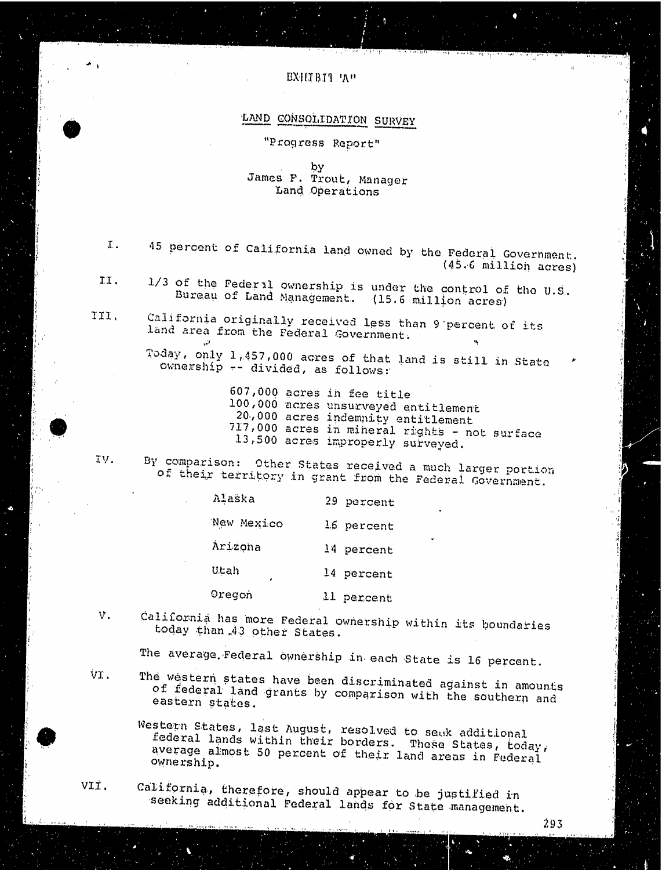#### EXIIIBI1 'At

# LAND CONSOLIDATION SURVEY

"Progress Report"

by James F. Trout, Manager Land Operations

- I. 45 percent of California land owned by the Federal Government. (45.6 million acres)
- II .  $1/3$  of the Federal ownership is under the control of the U.S. Bureau of Land Management. (15.6 million acres)
- III . California originally received less than 9 percent of its land area from the Federal Government.

Today, only 1,457,000 acres of that land is still in State ownership -- divided, as follows:

> 607,000 acres in fee title 100,000 acres unsurveyed entitlement 20.,000 acres indemnity entitlement 717,000 acres in mineral rights - not surface 13,500 acres improperly surveyed.

IV. By comparison: Other States received a much larger portion of their territory in grant from the Federal Government.

| Alaška     | 29 percent |
|------------|------------|
| New Mexico | 16 percent |
| Arizona    | 14 percent |
| Utah<br>٠  | 14 percent |
| Oregon     | 11 percent |

V. California has more Federal ownership within its boundaries today than 43 other States.

The average. Federal ownership in each State is 16 percent.

The western states have been discriminated against in amounts of federal land grants by comparison with the southern and eastern states. VI

Western States, last August, resolved to seuk additional<br>federal lands within their borders. These States, today, average almost 50 percent of their land areas in Federal ownership.

viI. California, therefore, should appear to be justified in seeking additional Federal lands for State management.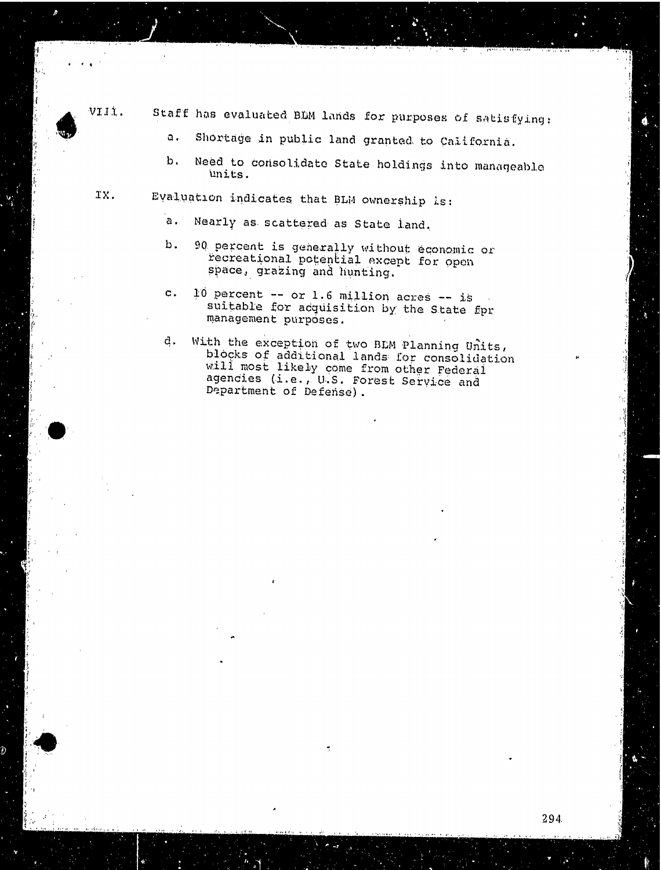VIII. Staff has evaluated BLM lands for purposes of satisfying:

- 2. Shortage in public land granted to California.
- b. Need to consolidate State holdings into manageable units.
- IX. Evaluation indicates that BLM ownership is:
	- a. Nearly as scattered as State land.
	- b . 90 percent is generally without economic or recreational potential except for open space, grazing and hunting.
	- c.  $10$  percent  $-$  or 1.6 million acres  $-$  is suitable for acquisition by the State fpr management purposes.
	- d. With the exception of two BLM Planning Units, blocks of additional lands for consolidation will most likely come from other Federal agencies (i.e. , U.S. Forest Service and Department of Defense) .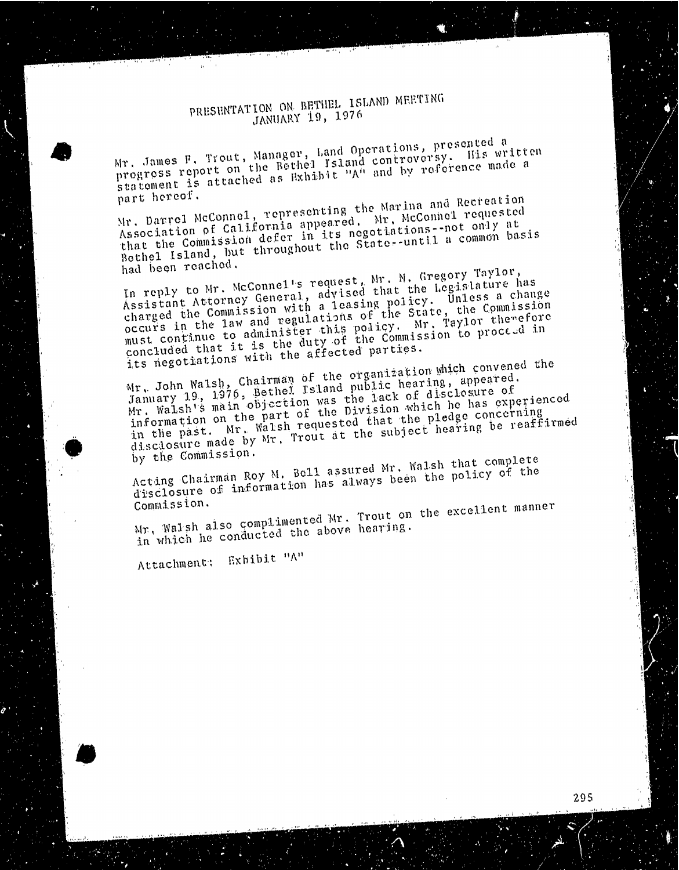# PRESENTATION ON BETHEL ISLAND MEETING JANUARY 19, 1976

Mr. James F. Trout, the Bethel Island Controvers, preferent progress report the attached as Exhibit "A" and ", progress report on the neuter island controversy. His willess stated as Exhibit "A" and by reference made a

part hereof. Mr. Darrel Mcconnel, representing the Marina and Recreationsthat the Commission defer in its negotiations-not only at that the Commission deferroughout the State--directs  $Betne1$  Island, but the  $I$  throughout throughout the  $Setne2$ 

had been reached.<br>In reply to Mr. McConnel's request, Mr. N. Gregory Taylor, In reply to Mr. Mangletin, advised that the reginies: Assistant  $A_{\text{equation}}$   $A_{\text{equation}}$  a leasing points. The Co charged the Commission wegulations or the Court raylor the Charged the Communisties with a regulations of the State, the Commission<br>occurs in the law and regulations of the State, the Commission<br>must continue to administer this policy. Mr. Taylor therefore<br>concluded that it is the must continue to the duty of the communication concluded that  $\tilde{\mathbf{r}}$  with the affected  $\tilde{\mathbf{p}}$  and  $\tilde{\mathbf{r}}$ 

its negotiations with the affections of a few parties. Mr. John Walsh, Charler Island public weather of the organization of the organization which convened the theory January 19, 1976. Betion was the Pack of driver. Mr. Walsh's main objection was the lack of disclosure of information on the part of the Division which he has experienced in the past. Mr. Walsh requested that the pledge concerning in the past.  $\lim_{M \to \infty} \int_{0}^{M} Mr$ , Trout at the subject that  $\frac{d}{d}s$  cd o sure made by  $\frac{d}{d}s$ .

by the Commission.<br>Acting Chairman Roy M. Bell assured Mr. Walsh that complete Acting Chairman Roymation has always been the P  $d$  is closure of  $\frac{1}{2}$  is closure of the policy of the policy of the policy of the policy of the policy of the policy of the policy of the policy of the policy of the policy of the policy of the policy of the policy Committee row

 $Mr$ . Walsh also conducted the above nearing. in which he conducted the above hearing.

Attachment: Exhibit "A"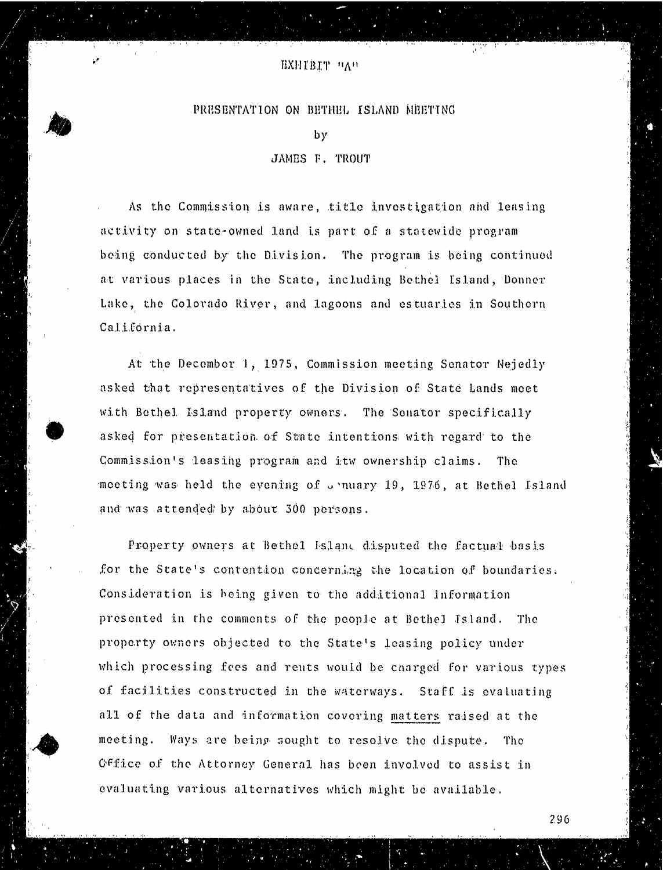## EXHIBIT "An

## PRESENTATION ON BETHEL ISLAND MEETING

by

## JAMES F. TROUT

As the Commission is aware, title investigation and leasing activity on state-owned land is part of a statewide program being conducted by the Division. The program is being continued at various places in the State, including Bethel Island, Donner Lake, the Colorado River, and lagoons and estuaries in Southern California.

At the December 1, 1975, Commission meeting Senator Nejedly asked that representatives of the Division of State Lands meet with Bethel Island property owners. The Senator specifically asked for presentation of State intentions with regard to the Commission's leasing program and itw ownership claims. The meeting was held the eyening of unuary 19, 1976, at Bethel Island and was attended by about 300 persons.

Property owners at Bethel Island disputed the factual basis for the State's contention concerning the location of boundaries. Consideration is being given to the additional information presented in the comments of the people at Bethel Island. The property owners objected to the State's leasing policy under which processing fees and rents would be charged for various types of facilities constructed in the waterways. Staff is evaluating all of the data and information covering matters raised at the meeting. Ways are being sought to resolve the dispute. The office of the Attorney General has been involved to assist in evaluating various alternatives which might be available.

296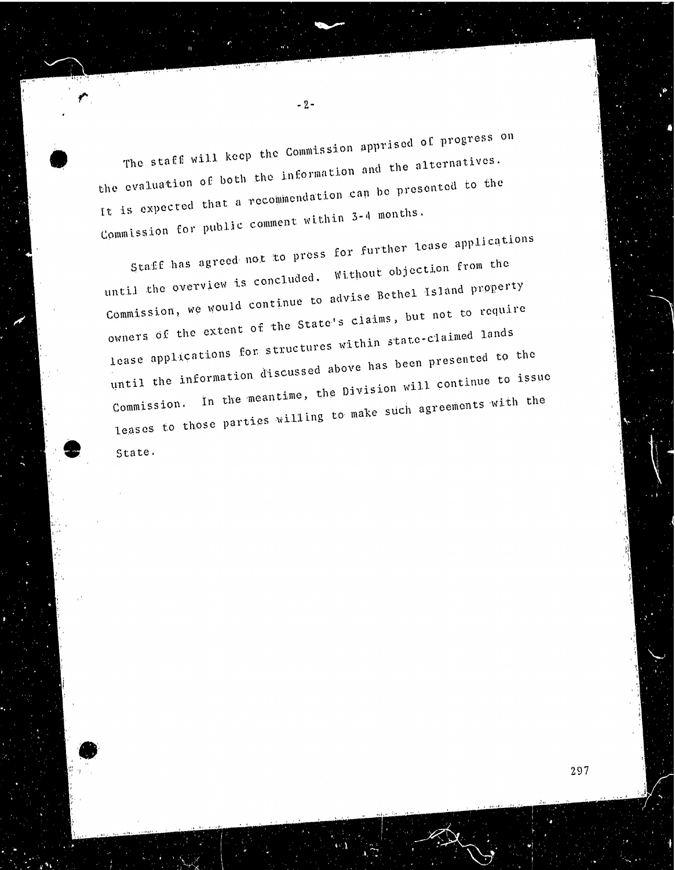The staff will keep the Commission apprised of progress on the evaluation of both the information and the alternatives. It is expected that a recommendation can be presented to the Commission for public comment within 3-4 months.

Staff has agreed not to press for further lease applications. until the overview is concluded. Without objection from the until the overve Commission, we was  $\epsilon_{\text{other}}$  crate's claims, but not to a owners of the extent of the State's claims, but not to require<br>lease applications for structures within state-claimed lands until the information discussed above has been presented to the Commission. In the meantime, the Division will continue to issue Commission.  $\cdots$   $\cdots$   $\cdots$   $\cdots$   $\cdots$   $\cdots$   $\cdots$   $\cdots$   $\cdots$   $\cdots$   $\cdots$   $\cdots$   $\cdots$   $\cdots$   $\cdots$   $\cdots$   $\cdots$   $\cdots$   $\cdots$   $\cdots$   $\cdots$   $\cdots$   $\cdots$   $\cdots$   $\cdots$   $\cdots$   $\cdots$   $\cdots$   $\cdots$   $\cdots$   $\cdots$   $\cdots$   $\cdots$   $\cdots$   $\cdots$ leases to those  $\mu$ State.

 $-2-$